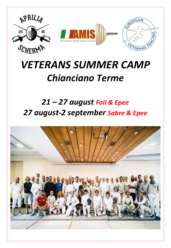

# *VETERANS SUMMER CAMP Chianciano Terme*

## *21 – 27 august Foil & Epee 27 august-2 september Sabre & Epee*

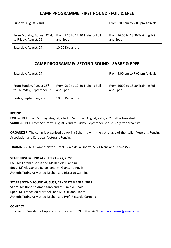#### **CAMP PROGRAMME: FIRST ROUND - FOIL & EPEE**

| Sunday, August, 21nd                                 |                                              | From 5:00 pm to 7:00 pm Arrivals              |
|------------------------------------------------------|----------------------------------------------|-----------------------------------------------|
| From Monday, August 22rd,<br>to Friday, August, 26th | From 9:30 to 12:30 Training Foil<br>and Epee | From 16:00 to 18:30 Training Foil<br>and Epee |
| Saturday, August, 27th                               | 10:00 Departure                              |                                               |

#### **CAMP PROGRAMME: SECOND ROUND - SABRE & EPEE**

| Saturday, August, 27th                                               |                                              | From 5:00 pm to 7:00 pm Arrivals              |
|----------------------------------------------------------------------|----------------------------------------------|-----------------------------------------------|
| From Sunday, August 28 <sup>th</sup> ,<br>to Thursday, September 1st | From 9:30 to 12:30 Training Foil<br>and Epee | From 16:00 to 18:30 Training Foil<br>and Epee |
| Friday, September, 2nd                                               | 10:00 Departure                              |                                               |

#### **PERIOD:**

**FOIL & EPEE:** From Sunday, August, 21nd to Saturday, August, 27th, 2022 (after breakfast) **SABRE & EPEE:** From Saturday, August, 27nd to Friday, September, 2th, 2022 (after breakfast)

**ORGANIZER:** The camp is organised by Aprilia Scherma with the patronage of the Italian Veterans Fencing Association and European Veterans Fencing.

**TRAINING VENUE:** Ambasciatori Hotel - Viale della Libertà, 512 Chianciano Terme (SI).

#### **STAFF FIRST ROUND AUGUST 21 – 27, 2022**

**Foil**: M° Lorenza Bocus and M° Daniele Giannini **Epee**: M° Alessandro Bartoli and M° Giancarlo Puglisi **Athletic Trainers**: Matteo Micheli and Riccardo Carmina

#### **STAFF SECOND ROUND AUGUST, 27 - SEPTEMBER 2, 2022**

**Sabre**: M° Roberto Amalfitano and M° Emidio Rinaldi **Epee**: M° Francesco Martinelli and M° Giuliano Pianca **Athletic Trainers**: Matteo Micheli and Prof. Riccardo Carmina

#### **CONTACT**

Luca Salis - President of Aprilia Scherma - cell. + 39.338.4376710 [apriliascherma@gmail.com](mailto:apriliascherma@gmail.com)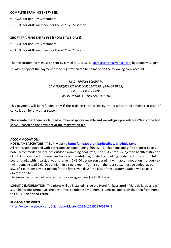#### **COMPLETE TRAINING ENTRY FEE:**

€ 185,00 for non-AMIS members

€ 165.00 for AMIS members for the 2021-2022 season

#### **SHORT TRAINING ENTRY FEE (FROM 1 TO 3 DAYS)**

€ 135.00 for non-AMIS members

€ 115.00 for AMIS members for the 2021-2022 season

The registration form must be sent by e-mail to Luca Salis - [apriliascherma@gmail.com](mailto:apriliascherma@gmail.com) by Monday August 1<sup>st</sup> with a copy of the payment of the registration fee to be made on the following bank account:

#### *A.S.D. APRILIA SCHERMA IBAN:IT90Q0538722002000002476504 (BANCA BPER) BIC: BPMOIT22XXX REASON: RITIRO ESTIVO MASTER 2022*

This payment will be refunded only if the training is cancelled by the organizer and retained in case of cancellation for any other reason.

#### **Please note that there is a limited number of spots available and we will give precedence ("first come first serve") based on the payment of the registration fee**

#### **ACCOMMODATION:**

**HOTEL AMBASCIATORI 4 \* SUP.** website **<http://ambasciatori.barbettihotels.it/index.php>**

All rooms are equipped with bathroom, air conditioning, free Wi-Fi, telephone and safety deposit boxes, hotel accommodation includes outdoor swimming pool (free). The SPA enter is subject to health restriction COVID (you can check the opening hours on the site), bar, limited car parking, restaurant. The cost of full board (drinks with meals), at your charge is € 46.00 per person per night with accommodation in a double / twin room, instead € 61.00 per night in a single room. To this sum the tourist tax must be added, as per law, of 1 euro per day per person for the first seven days. The cost of the accommodation will be paid directly on site.

The entrance to the wellness centre (price in agreement) is 15.00 Euro.

**LOGISTIC INFORMATION:** The pistes will be installed inside the Hotel Ambasciatori – Viale della Libertà n ° 512 Chianciano Terme (SI). The best travel solution is fly to Rome Fiumicino and catch the train from Rome to Chiusi-Chianciano Terme.

#### **PHOTOA AND VIDEO:**

<https://www.facebook.com/Chianciano-Master-2022-115192990037642>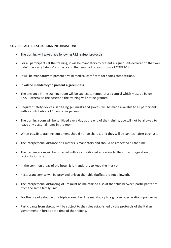#### **COVID HEALTH RESTRICTIONS INFORMATION:**

- The training will take place following F.I.S. safety protocols.
- For all participants at the training, it will be mandatory to present a signed self-declaration that you didn't have any "at-risk" contacts and that you had no symptoms of COVID-19.
- It will be mandatory to present a valid medical certificate for sports competitions.
- **It will be mandatory to present a green-pass.**
- The entrance in the training room will be subject to temperature control which must be below 37.5 °, otherwise the access to the training will not be granted.
- Required safety devices (sanitizing gel, masks and gloves) will be made available to all participants with a contribution of 10 euro per person.
- The training room will be sanitized every day at the end of the training, you will not be allowed to leave any personal items in the room.
- When possible, training equipment should not be shared, and they will be sanitizer after each use.
- The interpersonal distance of 1 meters is mandatory and should be respected all the time.
- The training room will be provided with air conditioned according to the current regulation (no recirculation air).
- In the common areas of the hotel, it is mandatory to keep the mask on.
- Restaurant service will be provided only at the table (buffets are not allowed).
- The interpersonal distancing of 1m must be maintained also at the table between participants not from the same family unit.
- For the use of a double or a triple room, it will be mandatory to sign a self-declaration upon arrival.
- Participants from abroad will be subject to the rules established by the protocols of the Italian government in force at the time of the training.